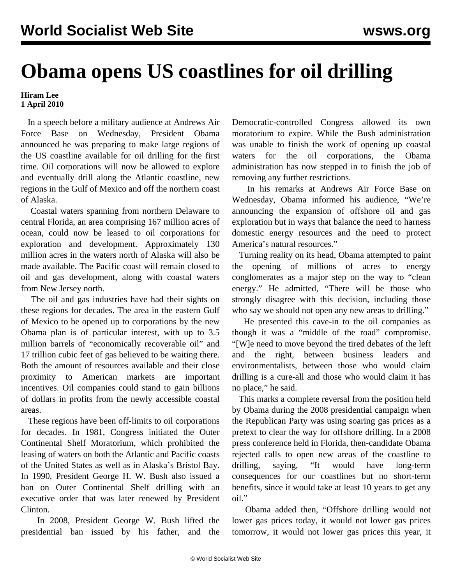## **Obama opens US coastlines for oil drilling**

## **Hiram Lee 1 April 2010**

 In a speech before a military audience at Andrews Air Force Base on Wednesday, President Obama announced he was preparing to make large regions of the US coastline available for oil drilling for the first time. Oil corporations will now be allowed to explore and eventually drill along the Atlantic coastline, new regions in the Gulf of Mexico and off the northern coast of Alaska.

 Coastal waters spanning from northern Delaware to central Florida, an area comprising 167 million acres of ocean, could now be leased to oil corporations for exploration and development. Approximately 130 million acres in the waters north of Alaska will also be made available. The Pacific coast will remain closed to oil and gas development, along with coastal waters from New Jersey north.

 The oil and gas industries have had their sights on these regions for decades. The area in the eastern Gulf of Mexico to be opened up to corporations by the new Obama plan is of particular interest, with up to 3.5 million barrels of "economically recoverable oil" and 17 trillion cubic feet of gas believed to be waiting there. Both the amount of resources available and their close proximity to American markets are important incentives. Oil companies could stand to gain billions of dollars in profits from the newly accessible coastal areas.

 These regions have been off-limits to oil corporations for decades. In 1981, Congress initiated the Outer Continental Shelf Moratorium, which prohibited the leasing of waters on both the Atlantic and Pacific coasts of the United States as well as in Alaska's Bristol Bay. In 1990, President George H. W. Bush also issued a ban on Outer Continental Shelf drilling with an executive order that was later renewed by President Clinton.

 In 2008, President George W. Bush lifted the presidential ban issued by his father, and the Democratic-controlled Congress allowed its own moratorium to expire. While the Bush administration was unable to finish the work of opening up coastal waters for the oil corporations, the Obama administration has now stepped in to finish the job of removing any further restrictions.

 In his remarks at Andrews Air Force Base on Wednesday, Obama informed his audience, "We're announcing the expansion of offshore oil and gas exploration but in ways that balance the need to harness domestic energy resources and the need to protect America's natural resources."

 Turning reality on its head, Obama attempted to paint the opening of millions of acres to energy conglomerates as a major step on the way to "clean energy." He admitted, "There will be those who strongly disagree with this decision, including those who say we should not open any new areas to drilling."

 He presented this cave-in to the oil companies as though it was a "middle of the road" compromise. "[W]e need to move beyond the tired debates of the left and the right, between business leaders and environmentalists, between those who would claim drilling is a cure-all and those who would claim it has no place," he said.

 This marks a complete reversal from the position held by Obama during the 2008 presidential campaign when the Republican Party was using soaring gas prices as a pretext to clear the way for offshore drilling. In a 2008 press conference held in Florida, then-candidate Obama rejected calls to open new areas of the coastline to drilling, saying, "It would have long-term consequences for our coastlines but no short-term benefits, since it would take at least 10 years to get any oil."

 Obama added then, "Offshore drilling would not lower gas prices today, it would not lower gas prices tomorrow, it would not lower gas prices this year, it